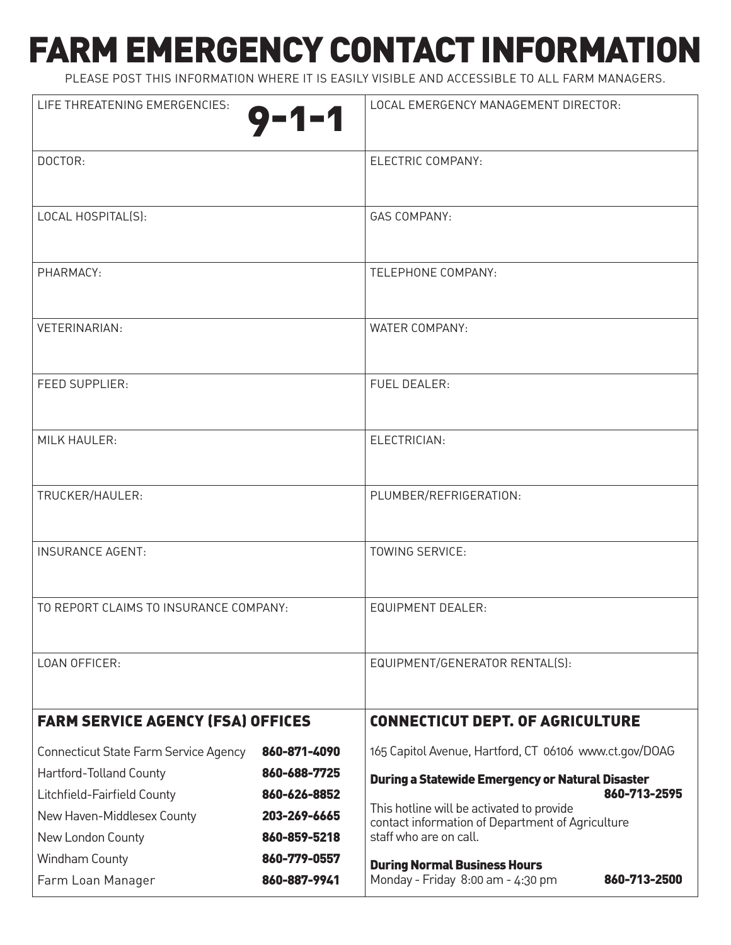# FARM EMERGENCY CONTACT INFORMATION

PLEASE POST THIS INFORMATION WHERE IT IS EASILY VISIBLE AND ACCESSIBLE TO ALL FARM MANAGERS.

| LIFE THREATENING EMERGENCIES:<br>$9 - 1 - 1$    |                              | LOCAL EMERGENCY MANAGEMENT DIRECTOR:                                       |              |
|-------------------------------------------------|------------------------------|----------------------------------------------------------------------------|--------------|
|                                                 |                              |                                                                            |              |
| DOCTOR:                                         |                              | ELECTRIC COMPANY:                                                          |              |
| LOCAL HOSPITAL(S):                              |                              | <b>GAS COMPANY:</b>                                                        |              |
|                                                 |                              |                                                                            |              |
| PHARMACY:                                       |                              | TELEPHONE COMPANY:                                                         |              |
|                                                 |                              |                                                                            |              |
| <b>VETERINARIAN:</b>                            |                              | <b>WATER COMPANY:</b>                                                      |              |
| <b>FEED SUPPLIER:</b>                           |                              | <b>FUEL DEALER:</b>                                                        |              |
|                                                 |                              |                                                                            |              |
| <b>MILK HAULER:</b>                             |                              | ELECTRICIAN:                                                               |              |
|                                                 |                              |                                                                            |              |
| TRUCKER/HAULER:                                 |                              | PLUMBER/REFRIGERATION:                                                     |              |
|                                                 |                              |                                                                            |              |
| <b>INSURANCE AGENT:</b>                         |                              | TOWING SERVICE:                                                            |              |
| TO REPORT CLAIMS TO INSURANCE COMPANY:          |                              | <b>EQUIPMENT DEALER:</b>                                                   |              |
|                                                 |                              |                                                                            |              |
| LOAN OFFICER:                                   |                              | EQUIPMENT/GENERATOR RENTAL(S):                                             |              |
|                                                 |                              |                                                                            |              |
| <b>FARM SERVICE AGENCY (FSA) OFFICES</b>        |                              | <b>CONNECTICUT DEPT. OF AGRICULTURE</b>                                    |              |
| Connecticut State Farm Service Agency           | 860-871-4090                 | 165 Capitol Avenue, Hartford, CT 06106 www.ct.gov/DOAG                     |              |
| Hartford-Tolland County                         | 860-688-7725                 | <b>During a Statewide Emergency or Natural Disaster</b><br>860-713-2595    |              |
| Litchfield-Fairfield County                     | 860-626-8852<br>203-269-6665 | This hotline will be activated to provide                                  |              |
| New Haven-Middlesex County<br>New London County | 860-859-5218                 | contact information of Department of Agriculture<br>staff who are on call. |              |
| Windham County                                  | 860-779-0557                 |                                                                            |              |
| Farm Loan Manager                               | 860-887-9941                 | <b>During Normal Business Hours</b><br>Monday - Friday 8:00 am - 4:30 pm   | 860-713-2500 |
|                                                 |                              |                                                                            |              |